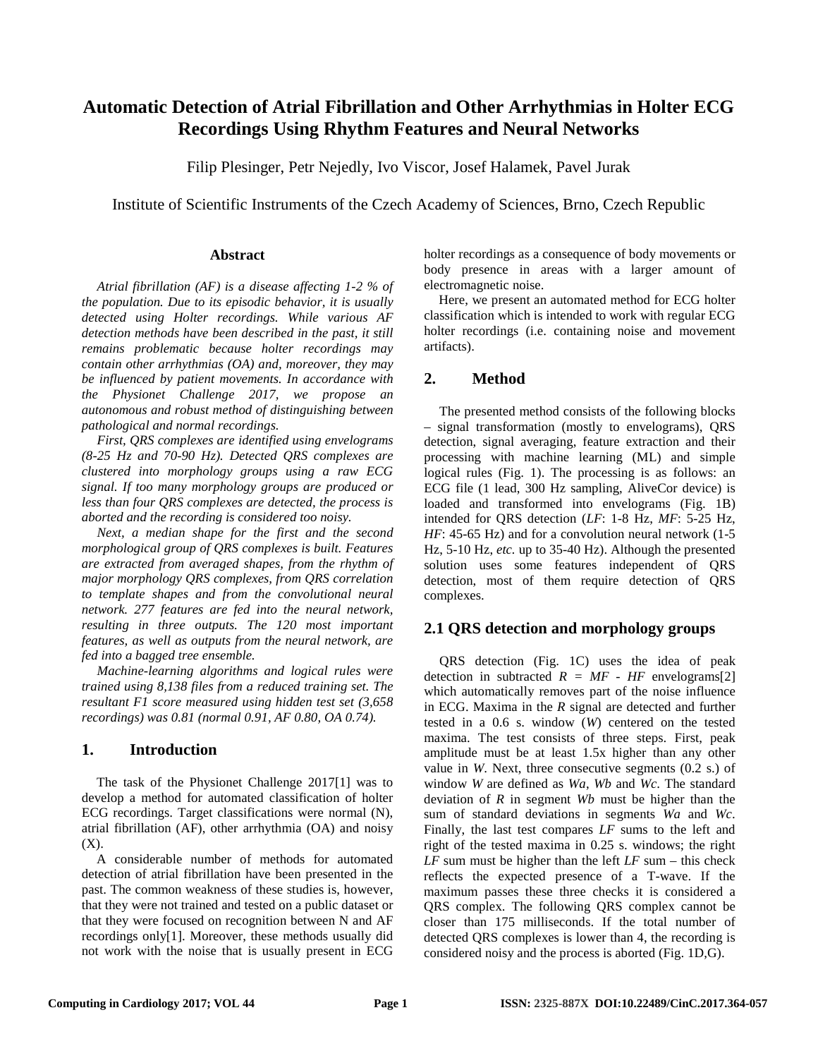# **Automatic Detection of Atrial Fibrillation and Other Arrhythmias in Holter ECG Recordings Using Rhythm Features and Neural Networks**

Filip Plesinger, Petr Nejedly, Ivo Viscor, Josef Halamek, Pavel Jurak

Institute of Scientific Instruments of the Czech Academy of Sciences, Brno, Czech Republic

#### **Abstract**

*Atrial fibrillation (AF) is a disease affecting 1-2 % of the population. Due to its episodic behavior, it is usually detected using Holter recordings. While various AF detection methods have been described in the past, it still remains problematic because holter recordings may contain other arrhythmias (OA) and, moreover, they may be influenced by patient movements. In accordance with the Physionet Challenge 2017, we propose an autonomous and robust method of distinguishing between pathological and normal recordings.*

*First, QRS complexes are identified using envelograms (8-25 Hz and 70-90 Hz). Detected QRS complexes are clustered into morphology groups using a raw ECG signal. If too many morphology groups are produced or less than four QRS complexes are detected, the process is aborted and the recording is considered too noisy.*

*Next, a median shape for the first and the second morphological group of QRS complexes is built. Features are extracted from averaged shapes, from the rhythm of major morphology QRS complexes, from QRS correlation to template shapes and from the convolutional neural network. 277 features are fed into the neural network, resulting in three outputs. The 120 most important features, as well as outputs from the neural network, are fed into a bagged tree ensemble.*

*Machine-learning algorithms and logical rules were trained using 8,138 files from a reduced training set. The resultant F1 score measured using hidden test set (3,658 recordings) was 0.81 (normal 0.91, AF 0.80, OA 0.74).*

# **1. Introduction**

The task of the Physionet Challenge 2017[1] was to develop a method for automated classification of holter ECG recordings. Target classifications were normal (N), atrial fibrillation (AF), other arrhythmia (OA) and noisy  $(X)$ .

A considerable number of methods for automated detection of atrial fibrillation have been presented in the past. The common weakness of these studies is, however, that they were not trained and tested on a public dataset or that they were focused on recognition between N and AF recordings only[1]. Moreover, these methods usually did not work with the noise that is usually present in ECG holter recordings as a consequence of body movements or body presence in areas with a larger amount of electromagnetic noise.

Here, we present an automated method for ECG holter classification which is intended to work with regular ECG holter recordings (i.e. containing noise and movement artifacts).

# **2. Method**

The presented method consists of the following blocks – signal transformation (mostly to envelograms), QRS detection, signal averaging, feature extraction and their processing with machine learning (ML) and simple logical rules (Fig. 1). The processing is as follows: an ECG file (1 lead, 300 Hz sampling, AliveCor device) is loaded and transformed into envelograms (Fig. 1B) intended for QRS detection (*LF*: 1-8 Hz, *MF*: 5-25 Hz, *HF*: 45-65 Hz) and for a convolution neural network (1-5) Hz, 5-10 Hz, *etc.* up to 35-40 Hz). Although the presented solution uses some features independent of QRS detection, most of them require detection of QRS complexes.

# **2.1 QRS detection and morphology groups**

QRS detection (Fig. 1C) uses the idea of peak detection in subtracted  $R = MF - HF$  envelograms[2] which automatically removes part of the noise influence in ECG. Maxima in the *R* signal are detected and further tested in a 0.6 s. window (*W*) centered on the tested maxima. The test consists of three steps. First, peak amplitude must be at least 1.5x higher than any other value in *W*. Next, three consecutive segments (0.2 s.) of window *W* are defined as *Wa*, *Wb* and *Wc*. The standard deviation of *R* in segment *Wb* must be higher than the sum of standard deviations in segments *Wa* and *Wc*. Finally, the last test compares *LF* sums to the left and right of the tested maxima in 0.25 s. windows; the right *LF* sum must be higher than the left *LF* sum – this check reflects the expected presence of a T-wave. If the maximum passes these three checks it is considered a QRS complex. The following QRS complex cannot be closer than 175 milliseconds. If the total number of detected QRS complexes is lower than 4, the recording is considered noisy and the process is aborted (Fig. 1D,G).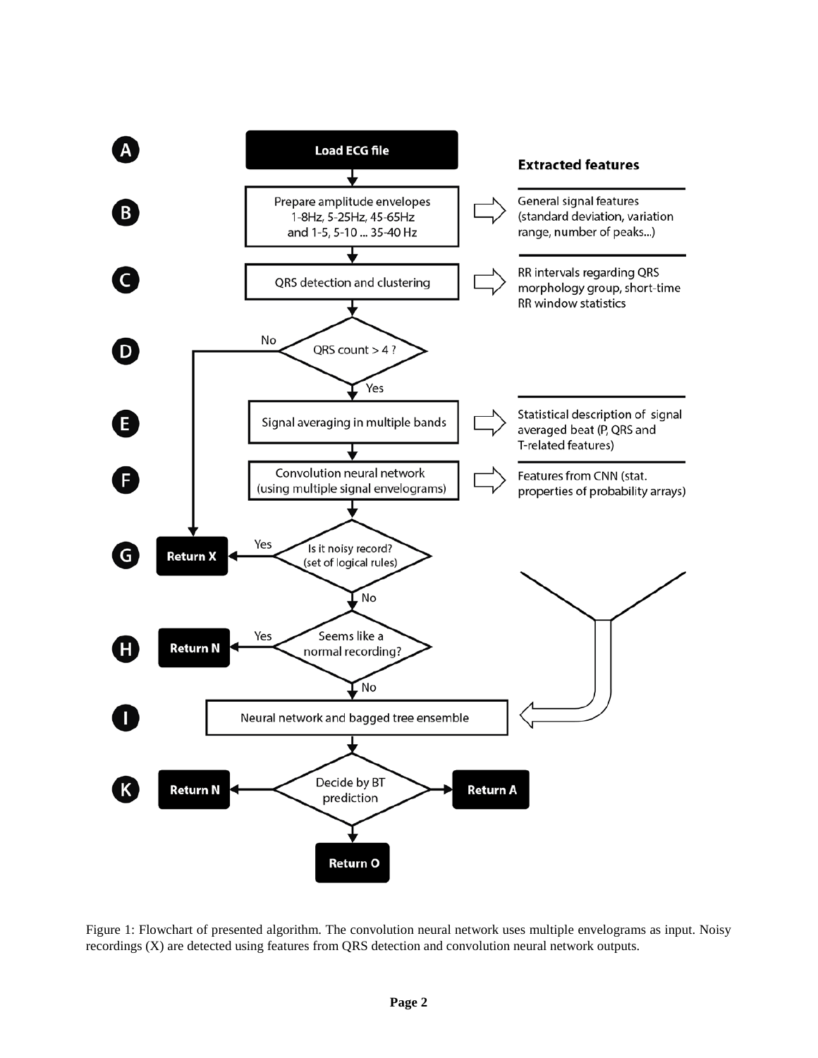

Figure 1: Flowchart of presented algorithm. The convolution neural network uses multiple envelograms as input. Noisy recordings (X) are detected using features from QRS detection and convolution neural network outputs.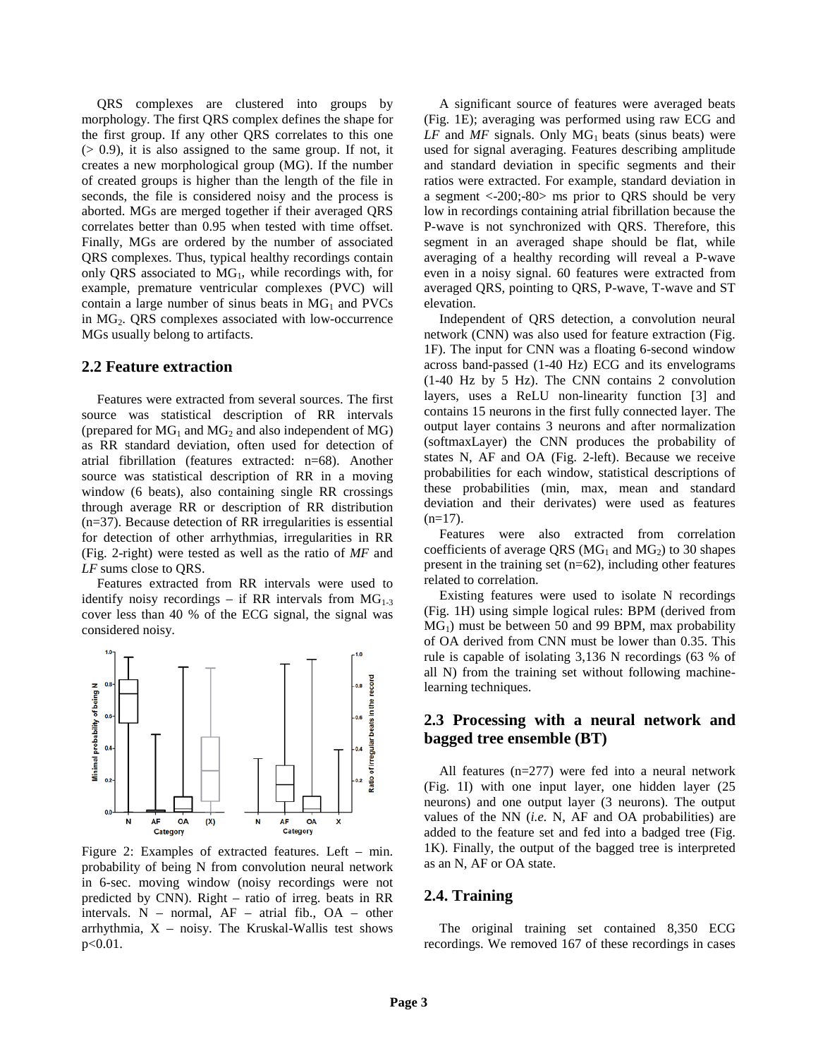QRS complexes are clustered into groups by morphology. The first QRS complex defines the shape for the first group. If any other QRS correlates to this one  $(0, 0.9)$ , it is also assigned to the same group. If not, it creates a new morphological group (MG). If the number of created groups is higher than the length of the file in seconds, the file is considered noisy and the process is aborted. MGs are merged together if their averaged QRS correlates better than 0.95 when tested with time offset. Finally, MGs are ordered by the number of associated QRS complexes. Thus, typical healthy recordings contain only QRS associated to MG<sub>1</sub>, while recordings with, for example, premature ventricular complexes (PVC) will contain a large number of sinus beats in  $MG<sub>1</sub>$  and PVCs in  $MG<sub>2</sub>$ . QRS complexes associated with low-occurrence MGs usually belong to artifacts.

#### **2.2 Feature extraction**

Features were extracted from several sources. The first source was statistical description of RR intervals (prepared for  $MG_1$  and  $MG_2$  and also independent of  $MG$ ) as RR standard deviation, often used for detection of atrial fibrillation (features extracted: n=68). Another source was statistical description of RR in a moving window (6 beats), also containing single RR crossings through average RR or description of RR distribution (n=37). Because detection of RR irregularities is essential for detection of other arrhythmias, irregularities in RR (Fig. 2-right) were tested as well as the ratio of *MF* and *LF* sums close to QRS.

Features extracted from RR intervals were used to identify noisy recordings – if RR intervals from  $MG_{1-3}$ cover less than 40 % of the ECG signal, the signal was considered noisy.



Figure 2: Examples of extracted features. Left – min. probability of being N from convolution neural network in 6-sec. moving window (noisy recordings were not predicted by CNN). Right – ratio of irreg. beats in RR intervals. N – normal, AF – atrial fib., OA – other arrhythmia,  $X$  – noisy. The Kruskal-Wallis test shows  $p < 0.01$ .

A significant source of features were averaged beats (Fig. 1E); averaging was performed using raw ECG and  $LF$  and  $MF$  signals. Only  $MG<sub>1</sub>$  beats (sinus beats) were used for signal averaging. Features describing amplitude and standard deviation in specific segments and their ratios were extracted. For example, standard deviation in a segment <-200;-80> ms prior to QRS should be very low in recordings containing atrial fibrillation because the P-wave is not synchronized with QRS. Therefore, this segment in an averaged shape should be flat, while averaging of a healthy recording will reveal a P-wave even in a noisy signal. 60 features were extracted from averaged QRS, pointing to QRS, P-wave, T-wave and ST elevation.

Independent of QRS detection, a convolution neural network (CNN) was also used for feature extraction (Fig. 1F). The input for CNN was a floating 6-second window across band-passed (1-40 Hz) ECG and its envelograms (1-40 Hz by 5 Hz). The CNN contains 2 convolution layers, uses a ReLU non-linearity function [3] and contains 15 neurons in the first fully connected layer. The output layer contains 3 neurons and after normalization (softmaxLayer) the CNN produces the probability of states N, AF and OA (Fig. 2-left). Because we receive probabilities for each window, statistical descriptions of these probabilities (min, max, mean and standard deviation and their derivates) were used as features  $(n=17)$ .

Features were also extracted from correlation coefficients of average QRS ( $MG<sub>1</sub>$  and  $MG<sub>2</sub>$ ) to 30 shapes present in the training set (n=62), including other features related to correlation.

Existing features were used to isolate N recordings (Fig. 1H) using simple logical rules: BPM (derived from  $MG<sub>1</sub>$ ) must be between 50 and 99 BPM, max probability of OA derived from CNN must be lower than 0.35. This rule is capable of isolating 3,136 N recordings (63 % of all N) from the training set without following machinelearning techniques.

# **2.3 Processing with a neural network and bagged tree ensemble (BT)**

All features (n=277) were fed into a neural network (Fig. 1I) with one input layer, one hidden layer (25 neurons) and one output layer (3 neurons). The output values of the NN (*i.e.* N, AF and OA probabilities) are added to the feature set and fed into a badged tree (Fig. 1K). Finally, the output of the bagged tree is interpreted as an N, AF or OA state.

#### **2.4. Training**

The original training set contained 8,350 ECG recordings. We removed 167 of these recordings in cases